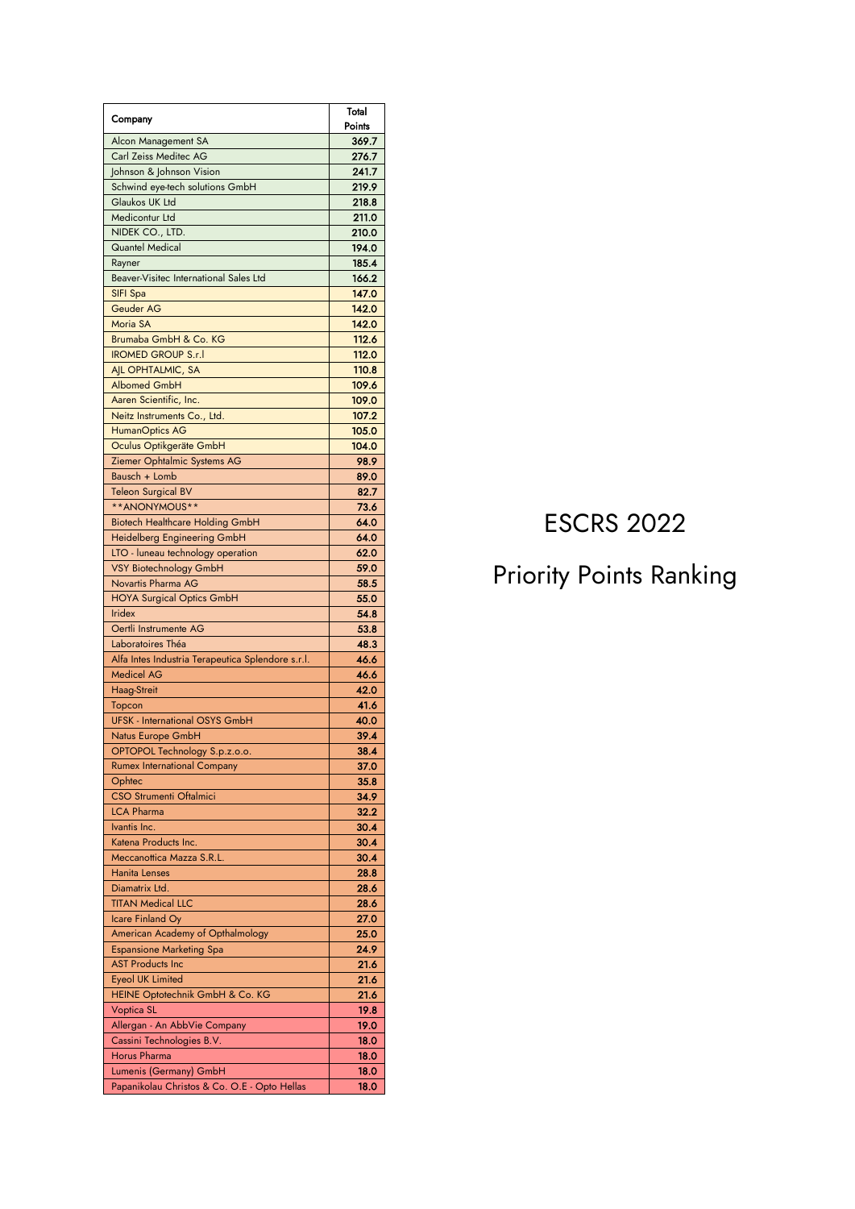| Company                                           | Total  |
|---------------------------------------------------|--------|
|                                                   | Points |
| Alcon Management SA                               | 369.7  |
| Carl Zeiss Meditec AG                             | 276.7  |
| Johnson & Johnson Vision                          | 241.7  |
| Schwind eye-tech solutions GmbH                   | 219.9  |
| Glaukos UK Ltd                                    | 218.8  |
| Medicontur Ltd                                    | 211.0  |
| NIDEK CO., LTD.                                   | 210.0  |
| <b>Quantel Medical</b>                            | 194.0  |
| Rayner                                            | 185.4  |
| Beaver-Visitec International Sales Ltd            | 166.2  |
| SIFI Spa                                          | 147.0  |
| Geuder AG                                         | 142.0  |
| Moria SA                                          | 142.0  |
| Brumaba GmbH & Co. KG                             | 112.6  |
| <b>IROMED GROUP S.r.I</b>                         | 112.0  |
| AIL OPHTALMIC, SA                                 | 110.8  |
| <b>Albomed GmbH</b>                               | 109.6  |
| Aaren Scientific, Inc.                            | 109.0  |
| Neitz Instruments Co., Ltd.                       | 107.2  |
| <b>HumanOptics AG</b>                             | 105.0  |
| Oculus Optikgeräte GmbH                           | 104.0  |
| Ziemer Ophtalmic Systems AG                       | 98.9   |
| Bausch + Lomb                                     | 89.0   |
| Teleon Surgical BV                                | 82.7   |
| **ANONYMOUS**                                     | 73.6   |
| <b>Biotech Healthcare Holding GmbH</b>            | 64.0   |
| Heidelberg Engineering GmbH                       | 64.0   |
| LTO - luneau technology operation                 | 62.0   |
| VSY Biotechnology GmbH                            | 59.0   |
| Novartis Pharma AG                                | 58.5   |
| <b>HOYA Surgical Optics GmbH</b>                  | 55.0   |
| <b>Iridex</b>                                     | 54.8   |
| Oertli Instrumente AG                             | 53.8   |
| Laboratoires Théa                                 | 48.3   |
| Alfa Intes Industria Terapeutica Splendore s.r.l. | 46.6   |
| <b>Medicel AG</b>                                 | 46.6   |
| Haag-Streit                                       | 42.0   |
|                                                   | 41.6   |
| Topcon<br><b>UFSK - International OSYS GmbH</b>   | 40.0   |
|                                                   | 39.4   |
| Natus Europe GmbH                                 |        |
| OPTOPOL Technology S.p.z.o.o.                     | 38.4   |
| <b>Rumex International Company</b>                | 37.0   |
| Ophtec                                            | 35.8   |
| CSO Strumenti Oftalmici                           | 34.9   |
| <b>LCA Pharma</b>                                 | 32.2   |
| Ivantis Inc.                                      | 30.4   |
| Katena Products Inc.                              | 30.4   |
| Meccanottica Mazza S.R.L.                         | 30.4   |
| <b>Hanita Lenses</b>                              | 28.8   |
| Diamatrix Ltd.                                    | 28.6   |
| <b>TITAN Medical LLC</b>                          | 28.6   |
| Icare Finland Oy                                  | 27.0   |
| American Academy of Opthalmology                  | 25.0   |
| <b>Espansione Marketing Spa</b>                   | 24.9   |
| <b>AST Products Inc</b>                           | 21.6   |
| <b>Eyeol UK Limited</b>                           | 21.6   |
| HEINE Optotechnik GmbH & Co. KG                   | 21.6   |
| <b>Voptica SL</b>                                 | 19.8   |
| Allergan - An AbbVie Company                      | 19.0   |
| Cassini Technologies B.V.                         | 18.0   |
| Horus Pharma                                      | 18.0   |
| Lumenis (Germany) GmbH                            | 18.0   |
| Papanikolau Christos & Co. O.E - Opto Hellas      | 18.0   |

## **ESCRS 2022**

## **Priority Points Ranking**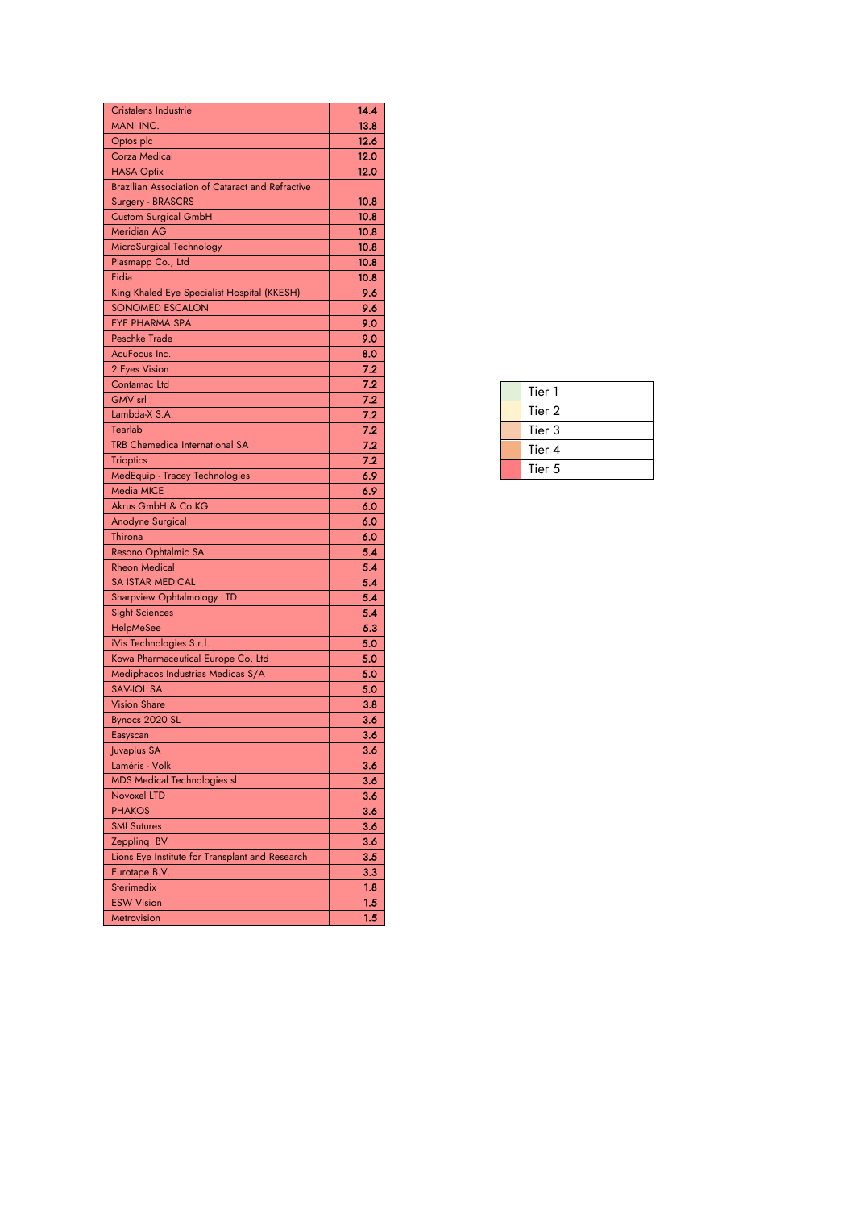| <b>Cristalens Industrie</b>                             | 14.4         |
|---------------------------------------------------------|--------------|
| <b>MANI INC.</b>                                        | 13.8         |
| Optos plc                                               | 12.6         |
| <b>Corza Medical</b>                                    | 12.0         |
| <b>HASA Optix</b>                                       | 12.0         |
| <b>Brazilian Association of Cataract and Refractive</b> |              |
| Surgery - BRASCRS                                       | 10.8         |
| <b>Custom Surgical GmbH</b>                             | 10.8         |
| <b>Meridian AG</b>                                      | 10.8         |
| MicroSurgical Technology                                | 10.8         |
| Plasmapp Co., Ltd                                       | 10.8         |
| Fidia                                                   | 10.8         |
| King Khaled Eye Specialist Hospital (KKESH)             | 9.6          |
| <b>SONOMED ESCALON</b>                                  | 9.6          |
| <b>EYE PHARMA SPA</b>                                   | 9.0          |
| <b>Peschke Trade</b>                                    | 9.0          |
| AcuFocus Inc.                                           | 8.0          |
| 2 Eyes Vision                                           | 7.2          |
| Contamac Ltd                                            | 7.2          |
| <b>GMV</b> srl                                          | 7.2          |
| Lambda-X S.A.                                           | 7.2          |
| Tearlab                                                 | 7.2          |
| <b>TRB Chemedica International SA</b>                   | 7.2          |
| <b>Trioptics</b>                                        | 7.2          |
| MedEquip - Tracey Technologies                          | 6.9          |
| <b>Media MICE</b>                                       | 6.9          |
| Akrus GmbH & Co KG                                      | 6.0          |
| Anodyne Surgical                                        | 6.0          |
| Thirona                                                 | 6.0          |
| Resono Ophtalmic SA                                     | 5.4          |
| <b>Rheon Medical</b>                                    | 5.4          |
| <b>SA ISTAR MEDICAL</b>                                 | 5.4          |
| <b>Sharpview Ophtalmology LTD</b>                       | 5.4          |
| <b>Sight Sciences</b>                                   | 5.4          |
| <b>HelpMeSee</b>                                        | 5.3          |
| iVis Technologies S.r.l.                                | 5.0          |
| Kowa Pharmaceutical Europe Co. Ltd                      | 5.0          |
| Mediphacos Industrias Medicas S/A                       | 5.0          |
| <b>SAV-IOL SA</b>                                       | 5.0          |
| <b>Vision Share</b>                                     | $_{\bf 3.8}$ |
| Bynocs 2020 SL                                          | 3.6          |
| Easyscan                                                | 3.6          |
| Juvaplus SA                                             | 3.6          |
| Laméris - Volk                                          | 3.6          |
| <b>MDS Medical Technologies sl</b>                      | 3.6          |
| Novoxel LTD                                             | 3.6          |
| <b>PHAKOS</b>                                           | 3.6          |
| <b>SMI Sutures</b>                                      | 3.6          |
| Zeppling BV                                             | 3.6          |
| Lions Eye Institute for Transplant and Research         | 3.5          |
| Eurotape B.V.                                           | 3.3          |
| Sterimedix                                              | 1.8          |
| <b>ESW Vision</b>                                       | 1.5          |
| Metrovision                                             | 1.5          |

|  | Tier 1 |
|--|--------|
|  | Tier 2 |
|  | Tier 3 |
|  | Tier 4 |
|  | Tier 5 |